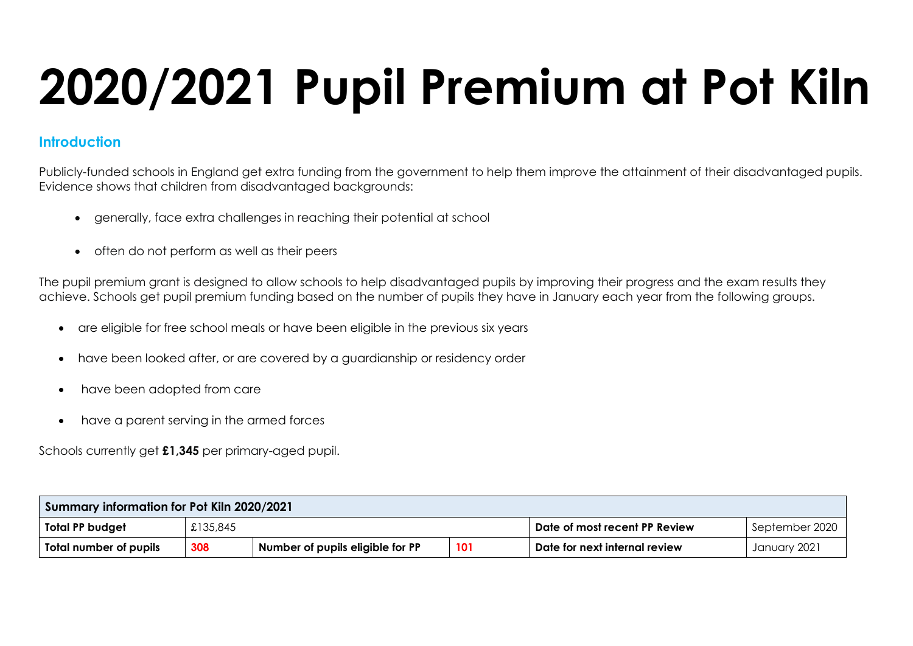# **2020/2021 Pupil Premium at Pot Kiln**

### **Introduction**

Publicly-funded schools in England get extra funding from the government to help them improve the attainment of their disadvantaged pupils. Evidence shows that children from disadvantaged backgrounds:

- generally, face extra challenges in reaching their potential at school
- often do not perform as well as their peers

The pupil premium grant is designed to allow schools to help disadvantaged pupils by improving their progress and the exam results they achieve. Schools get pupil premium funding based on the number of pupils they have in January each year from the following groups.

- are eligible for free school meals or have been eligible in the previous six years
- have been looked after, or are covered by a guardianship or residency order
- have been adopted from care
- have a parent serving in the armed forces

Schools currently get **£1,345** per primary-aged pupil.

| Summary information for Pot Kiln 2020/2021                               |          |                               |                                                 |  |  |  |
|--------------------------------------------------------------------------|----------|-------------------------------|-------------------------------------------------|--|--|--|
| Total PP budget                                                          | £135,845 |                               | September 2020<br>Date of most recent PP Review |  |  |  |
| 308<br>101<br>Number of pupils eligible for PP<br>Total number of pupils |          | Date for next internal review | January 2021                                    |  |  |  |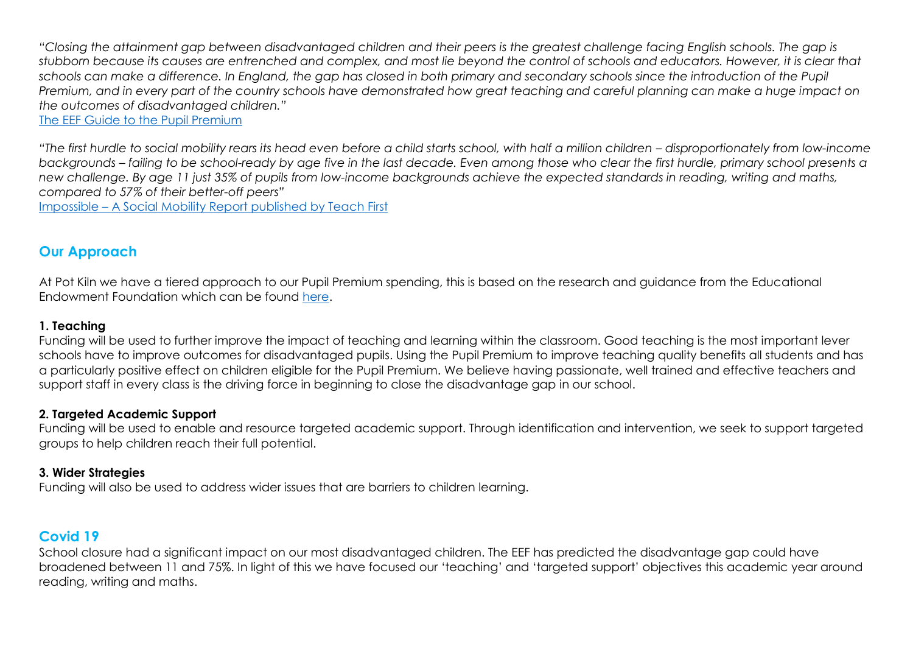*"Closing the attainment gap between disadvantaged children and their peers is the greatest challenge facing English schools. The gap is stubborn because its causes are entrenched and complex, and most lie beyond the control of schools and educators. However, it is clear that schools can make a difference. In England, the gap has closed in both primary and secondary schools since the introduction of the Pupil Premium, and in every part of the country schools have demonstrated how great teaching and careful planning can make a huge impact on the outcomes of disadvantaged children."*

[The EEF Guide to the Pupil Premium](https://educationendowmentfoundation.org.uk/public/files/Publications/Pupil_Premium_Guidance_iPDF.pdf)

*"The first hurdle to social mobility rears its head even before a child starts school, with half a million children – disproportionately from low-income backgrounds – failing to be school-ready by age five in the last decade. Even among those who clear the first hurdle, primary school presents a new challenge. By age 11 just 35% of pupils from low-income backgrounds achieve the expected standards in reading, writing and maths, compared to 57% of their better-off peers"*

Impossible – [A Social Mobility Report published by Teach First](https://www.teachfirst.org.uk/sites/default/files/2017-08/Teach-First-Impossible-Policy-Report.pdf)

## **Our Approach**

At Pot Kiln we have a tiered approach to our Pupil Premium spending, this is based on the research and guidance from the Educational Endowment Foundation which can be found [here.](https://educationendowmentfoundation.org.uk/public/files/Publications/Pupil_Premium_Guidance_iPDF.pdf)

#### **1. Teaching**

Funding will be used to further improve the impact of teaching and learning within the classroom. Good teaching is the most important lever schools have to improve outcomes for disadvantaged pupils. Using the Pupil Premium to improve teaching quality benefits all students and has a particularly positive effect on children eligible for the Pupil Premium. We believe having passionate, well trained and effective teachers and support staff in every class is the driving force in beginning to close the disadvantage gap in our school.

#### **2. Targeted Academic Support**

Funding will be used to enable and resource targeted academic support. Through identification and intervention, we seek to support targeted groups to help children reach their full potential.

#### **3. Wider Strategies**

Funding will also be used to address wider issues that are barriers to children learning.

## **Covid 19**

School closure had a significant impact on our most disadvantaged children. The EEF has predicted the disadvantage gap could have broadened between 11 and 75%. In light of this we have focused our 'teaching' and 'targeted support' objectives this academic year around reading, writing and maths.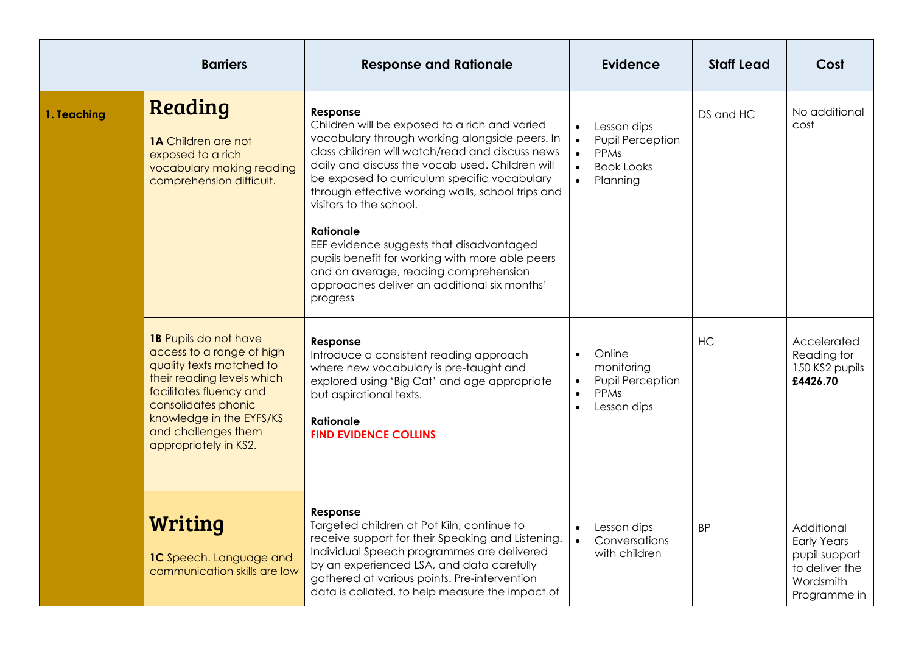|             | <b>Barriers</b>                                                                                                                                                                                                                            | <b>Response and Rationale</b>                                                                                                                                                                                                                                                                                                                                                                                                                                                                                                                                             | <b>Evidence</b>                                                                                                                           | <b>Staff Lead</b> | Cost                                                                                             |
|-------------|--------------------------------------------------------------------------------------------------------------------------------------------------------------------------------------------------------------------------------------------|---------------------------------------------------------------------------------------------------------------------------------------------------------------------------------------------------------------------------------------------------------------------------------------------------------------------------------------------------------------------------------------------------------------------------------------------------------------------------------------------------------------------------------------------------------------------------|-------------------------------------------------------------------------------------------------------------------------------------------|-------------------|--------------------------------------------------------------------------------------------------|
| 1. Teaching | Reading<br><b>1A</b> Children are not<br>exposed to a rich<br>vocabulary making reading<br>comprehension difficult.                                                                                                                        | Response<br>Children will be exposed to a rich and varied<br>vocabulary through working alongside peers. In<br>class children will watch/read and discuss news<br>daily and discuss the vocab used. Children will<br>be exposed to curriculum specific vocabulary<br>through effective working walls, school trips and<br>visitors to the school.<br><b>Rationale</b><br>EEF evidence suggests that disadvantaged<br>pupils benefit for working with more able peers<br>and on average, reading comprehension<br>approaches deliver an additional six months'<br>progress | Lesson dips<br>$\bullet$<br>Pupil Perception<br>$\bullet$<br>PPMs<br>$\bullet$<br><b>Book Looks</b><br>$\bullet$<br>$\bullet$<br>Planning | DS and HC         | No additional<br>cost                                                                            |
|             | 1B Pupils do not have<br>access to a range of high<br>quality texts matched to<br>their reading levels which<br>facilitates fluency and<br>consolidates phonic<br>knowledge in the EYFS/KS<br>and challenges them<br>appropriately in KS2. | Response<br>Introduce a consistent reading approach<br>where new vocabulary is pre-taught and<br>explored using 'Big Cat' and age appropriate<br>but aspirational texts.<br><b>Rationale</b><br><b>FIND EVIDENCE COLLINS</b>                                                                                                                                                                                                                                                                                                                                              | Online<br>$\bullet$<br>monitoring<br>Pupil Perception<br>$\bullet$<br>PPMs<br>$\bullet$<br>Lesson dips                                    | HC                | Accelerated<br>Reading for<br>150 KS2 pupils<br>£4426.70                                         |
|             | <b>Writing</b><br>1C Speech. Language and<br>communication skills are low                                                                                                                                                                  | Response<br>Targeted children at Pot Kiln, continue to<br>receive support for their Speaking and Listening.<br>Individual Speech programmes are delivered<br>by an experienced LSA, and data carefully<br>gathered at various points. Pre-intervention<br>data is collated, to help measure the impact of                                                                                                                                                                                                                                                                 | Lesson dips<br>Conversations<br>$\bullet$<br>with children                                                                                | BP.               | Additional<br><b>Early Years</b><br>pupil support<br>to deliver the<br>Wordsmith<br>Programme in |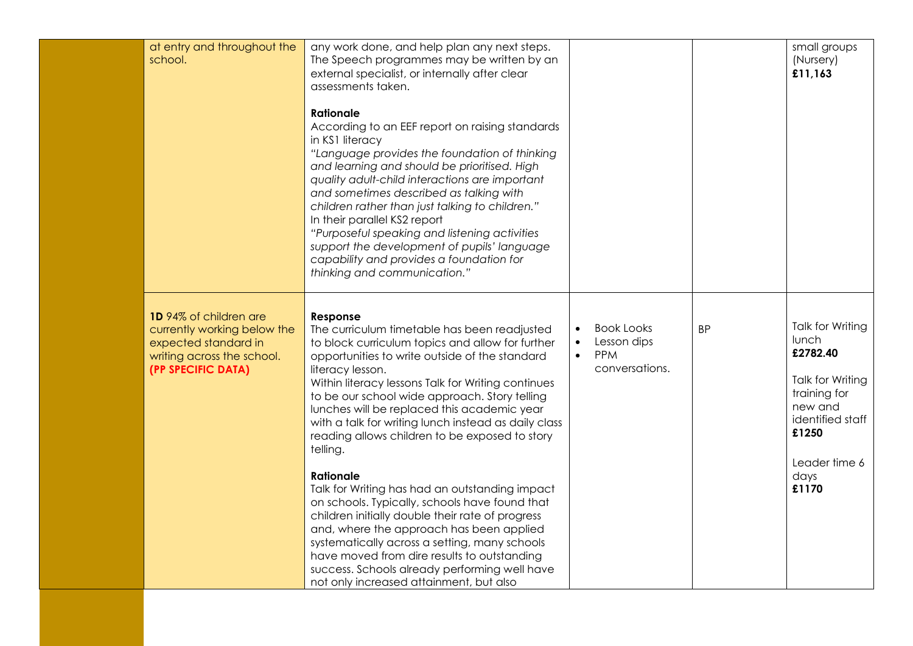| at entry and throughout the<br>school.                                                                                            | any work done, and help plan any next steps.<br>The Speech programmes may be written by an<br>external specialist, or internally after clear<br>assessments taken.<br><b>Rationale</b><br>According to an EEF report on raising standards<br>in KS1 literacy<br>"Language provides the foundation of thinking<br>and learning and should be prioritised. High<br>quality adult-child interactions are important<br>and sometimes described as talking with<br>children rather than just talking to children."<br>In their parallel KS2 report<br>"Purposeful speaking and listening activities<br>support the development of pupils' language<br>capability and provides a foundation for<br>thinking and communication."                                                                                                                                                          |                                                                                                         |           | small groups<br>(Nursery)<br>£11,163                                                                                                                |
|-----------------------------------------------------------------------------------------------------------------------------------|------------------------------------------------------------------------------------------------------------------------------------------------------------------------------------------------------------------------------------------------------------------------------------------------------------------------------------------------------------------------------------------------------------------------------------------------------------------------------------------------------------------------------------------------------------------------------------------------------------------------------------------------------------------------------------------------------------------------------------------------------------------------------------------------------------------------------------------------------------------------------------|---------------------------------------------------------------------------------------------------------|-----------|-----------------------------------------------------------------------------------------------------------------------------------------------------|
| 1D 94% of children are<br>currently working below the<br>expected standard in<br>writing across the school.<br>(PP SPECIFIC DATA) | Response<br>The curriculum timetable has been readjusted<br>to block curriculum topics and allow for further<br>opportunities to write outside of the standard<br>literacy lesson.<br>Within literacy lessons Talk for Writing continues<br>to be our school wide approach. Story telling<br>lunches will be replaced this academic year<br>with a talk for writing lunch instead as daily class<br>reading allows children to be exposed to story<br>telling.<br><b>Rationale</b><br>Talk for Writing has had an outstanding impact<br>on schools. Typically, schools have found that<br>children initially double their rate of progress<br>and, where the approach has been applied<br>systematically across a setting, many schools<br>have moved from dire results to outstanding<br>success. Schools already performing well have<br>not only increased attainment, but also | <b>Book Looks</b><br>$\bullet$<br>Lesson dips<br>$\bullet$<br><b>PPM</b><br>$\bullet$<br>conversations. | <b>BP</b> | Talk for Writing<br>lunch<br>£2782.40<br>Talk for Writing<br>training for<br>new and<br>identified staff<br>£1250<br>Leader time 6<br>days<br>£1170 |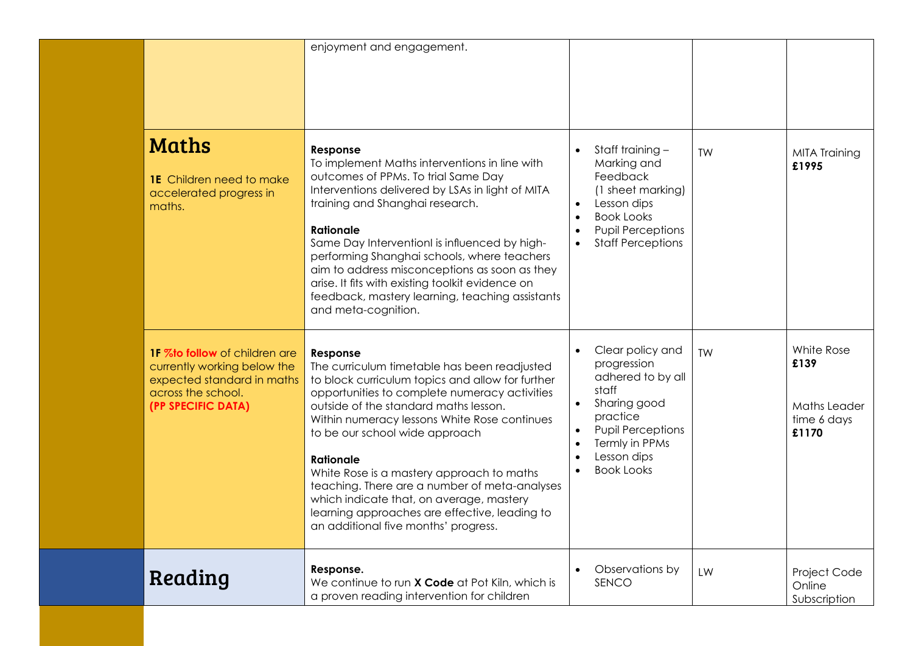|                                                                                                                                        | enjoyment and engagement.                                                                                                                                                                                                                                                                                                                                                                                                                                                                                                                       |       |                                                                                                                                                                    |    |                                                            |
|----------------------------------------------------------------------------------------------------------------------------------------|-------------------------------------------------------------------------------------------------------------------------------------------------------------------------------------------------------------------------------------------------------------------------------------------------------------------------------------------------------------------------------------------------------------------------------------------------------------------------------------------------------------------------------------------------|-------|--------------------------------------------------------------------------------------------------------------------------------------------------------------------|----|------------------------------------------------------------|
| <b>Maths</b><br><b>1E</b> Children need to make<br>accelerated progress in<br>maths.                                                   | Response<br>To implement Maths interventions in line with<br>outcomes of PPMs. To trial Same Day<br>Interventions delivered by LSAs in light of MITA<br>training and Shanghai research.<br><b>Rationale</b><br>Same Day Interventionl is influenced by high-<br>performing Shanghai schools, where teachers<br>aim to address misconceptions as soon as they<br>arise. It fits with existing toolkit evidence on<br>feedback, mastery learning, teaching assistants<br>and meta-cognition.                                                      |       | Staff training -<br>Marking and<br>Feedback<br>(1 sheet marking)<br>Lesson dips<br><b>Book Looks</b><br><b>Pupil Perceptions</b><br><b>Staff Perceptions</b>       | TW | <b>MITA Training</b><br>£1995                              |
| 1F %to follow of children are<br>currently working below the<br>expected standard in maths<br>across the school.<br>(PP SPECIFIC DATA) | Response<br>The curriculum timetable has been readjusted<br>to block curriculum topics and allow for further<br>opportunities to complete numeracy activities<br>outside of the standard maths lesson.<br>Within numeracy lessons White Rose continues<br>to be our school wide approach<br><b>Rationale</b><br>White Rose is a mastery approach to maths<br>teaching. There are a number of meta-analyses<br>which indicate that, on average, mastery<br>learning approaches are effective, leading to<br>an additional five months' progress. | staff | Clear policy and<br>progression<br>adhered to by all<br>Sharing good<br>practice<br><b>Pupil Perceptions</b><br>Termly in PPMs<br>Lesson dips<br><b>Book Looks</b> | TW | White Rose<br>£139<br>Maths Leader<br>time 6 days<br>£1170 |
| Reading                                                                                                                                | Response.<br>We continue to run X Code at Pot Kiln, which is<br>a proven reading intervention for children                                                                                                                                                                                                                                                                                                                                                                                                                                      |       | Observations by<br>SENCO                                                                                                                                           | LW | Project Code<br>Online<br>Subscription                     |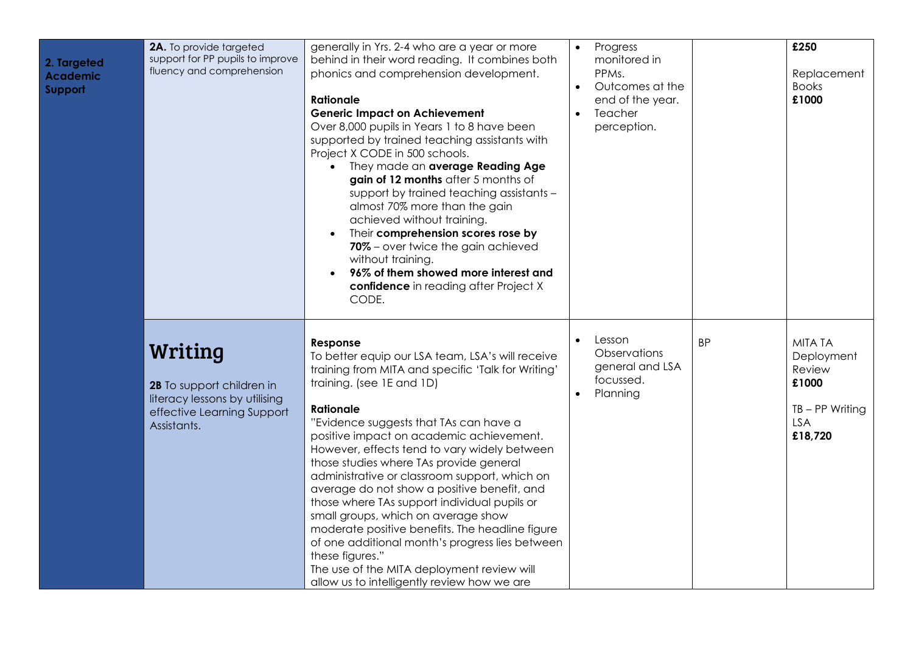| 2. Targeted<br><b>Academic</b><br>Support | 2A. To provide targeted<br>support for PP pupils to improve<br>fluency and comprehension                           | generally in Yrs. 2-4 who are a year or more<br>behind in their word reading. It combines both<br>phonics and comprehension development.<br><b>Rationale</b><br><b>Generic Impact on Achievement</b><br>Over 8,000 pupils in Years 1 to 8 have been<br>supported by trained teaching assistants with<br>Project X CODE in 500 schools.<br>They made an average Reading Age<br>$\bullet$<br>gain of 12 months after 5 months of<br>support by trained teaching assistants -<br>almost 70% more than the gain<br>achieved without training.<br>Their comprehension scores rose by<br>70% - over twice the gain achieved<br>without training.<br>96% of them showed more interest and<br>confidence in reading after Project X<br>CODE.                              | $\bullet$<br>$\bullet$<br>$\bullet$ | Progress<br>monitored in<br>PPMs.<br>Outcomes at the<br>end of the year.<br>Teacher<br>perception. |           | £250<br>Replacement<br><b>Books</b><br>£1000                                           |
|-------------------------------------------|--------------------------------------------------------------------------------------------------------------------|-------------------------------------------------------------------------------------------------------------------------------------------------------------------------------------------------------------------------------------------------------------------------------------------------------------------------------------------------------------------------------------------------------------------------------------------------------------------------------------------------------------------------------------------------------------------------------------------------------------------------------------------------------------------------------------------------------------------------------------------------------------------|-------------------------------------|----------------------------------------------------------------------------------------------------|-----------|----------------------------------------------------------------------------------------|
|                                           | Writing<br>2B To support children in<br>literacy lessons by utilising<br>effective Learning Support<br>Assistants. | Response<br>To better equip our LSA team, LSA's will receive<br>training from MITA and specific 'Talk for Writing'<br>training. (see 1E and 1D)<br><b>Rationale</b><br>"Evidence suggests that TAs can have a<br>positive impact on academic achievement.<br>However, effects tend to vary widely between<br>those studies where TAs provide general<br>administrative or classroom support, which on<br>average do not show a positive benefit, and<br>those where TAs support individual pupils or<br>small groups, which on average show<br>moderate positive benefits. The headline figure<br>of one additional month's progress lies between<br>these figures."<br>The use of the MITA deployment review will<br>allow us to intelligently review how we are | $\bullet$<br>$\bullet$              | Lesson<br>Observations<br>general and LSA<br>focussed.<br>Planning                                 | <b>BP</b> | <b>MITA TA</b><br>Deployment<br>Review<br>£1000<br>$TB - PP$ Writing<br>LSA<br>£18,720 |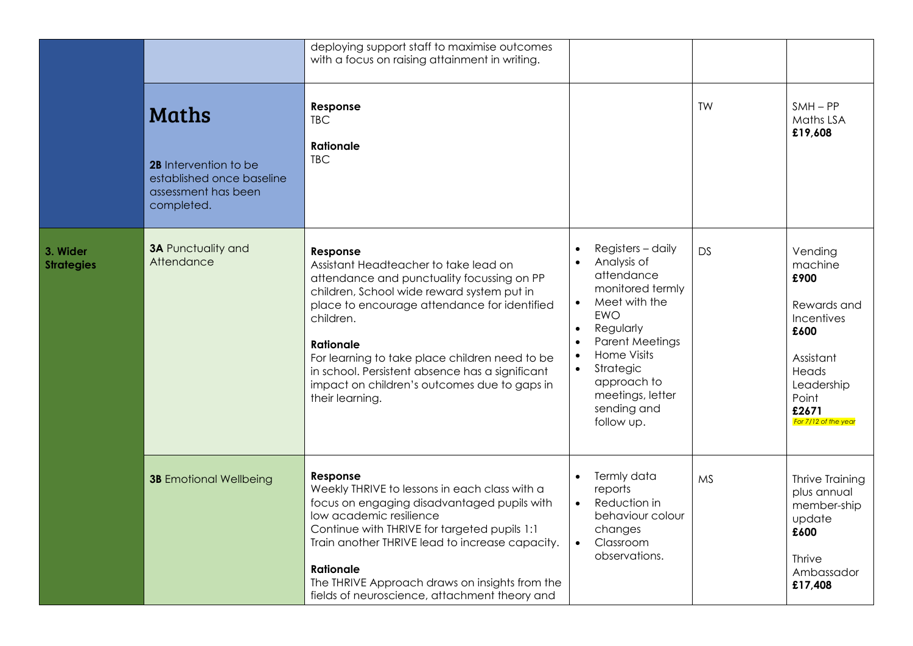|                               |                                                                                                  | deploying support staff to maximise outcomes<br>with a focus on raising attainment in writing.                                                                                                                                                                                                                                                                                                         |                                                                                                                                                                                                                                                                                                                                 |           |                                                                                                                                               |
|-------------------------------|--------------------------------------------------------------------------------------------------|--------------------------------------------------------------------------------------------------------------------------------------------------------------------------------------------------------------------------------------------------------------------------------------------------------------------------------------------------------------------------------------------------------|---------------------------------------------------------------------------------------------------------------------------------------------------------------------------------------------------------------------------------------------------------------------------------------------------------------------------------|-----------|-----------------------------------------------------------------------------------------------------------------------------------------------|
|                               | Maths<br>2B Intervention to be<br>established once baseline<br>assessment has been<br>completed. | Response<br><b>TBC</b><br>Rationale<br><b>TBC</b>                                                                                                                                                                                                                                                                                                                                                      |                                                                                                                                                                                                                                                                                                                                 | TW        | $SMH - PP$<br>Maths LSA<br>£19,608                                                                                                            |
| 3. Wider<br><b>Strategies</b> | <b>3A Punctuality and</b><br>Attendance                                                          | Response<br>Assistant Headteacher to take lead on<br>attendance and punctuality focussing on PP<br>children, School wide reward system put in<br>place to encourage attendance for identified<br>children.<br><b>Rationale</b><br>For learning to take place children need to be<br>in school. Persistent absence has a significant<br>impact on children's outcomes due to gaps in<br>their learning. | Registers - daily<br>$\bullet$<br>Analysis of<br>$\bullet$<br>attendance<br>monitored termly<br>Meet with the<br>$\bullet$<br><b>EWO</b><br>Regularly<br>$\bullet$<br><b>Parent Meetings</b><br>$\bullet$<br>Home Visits<br>$\bullet$<br>Strategic<br>$\bullet$<br>approach to<br>meetings, letter<br>sending and<br>follow up. | DS        | Vending<br>machine<br>£900<br>Rewards and<br>Incentives<br>£600<br>Assistant<br>Heads<br>Leadership<br>Point<br>£2671<br>For 7/12 of the year |
|                               | <b>3B</b> Emotional Wellbeing                                                                    | Response<br>Weekly THRIVE to lessons in each class with a<br>focus on engaging disadvantaged pupils with<br>low academic resilience<br>Continue with THRIVE for targeted pupils 1:1<br>Train another THRIVE lead to increase capacity.<br><b>Rationale</b><br>The THRIVE Approach draws on insights from the<br>fields of neuroscience, attachment theory and                                          | Termly data<br>$\bullet$<br>reports<br>Reduction in<br>$\bullet$<br>behaviour colour<br>changes<br>Classroom<br>$\bullet$<br>observations.                                                                                                                                                                                      | <b>MS</b> | Thrive Training<br>plus annual<br>member-ship<br>update<br>£600<br><b>Thrive</b><br>Ambassador<br>£17,408                                     |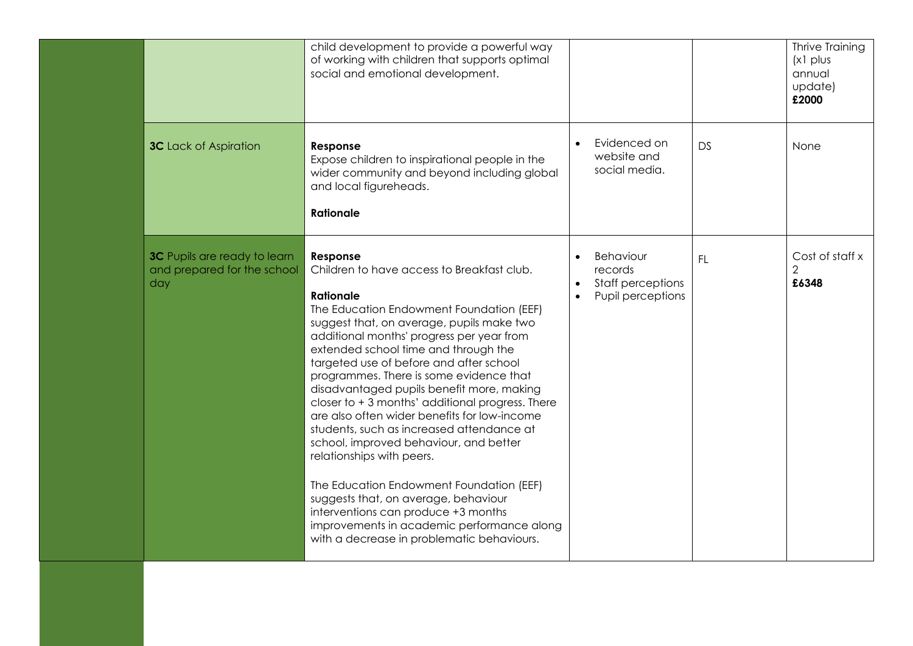|                                                                           | child development to provide a powerful way<br>of working with children that supports optimal<br>social and emotional development.                                                                                                                                                                                                                                                                                                                                                                                                                                                                                                                                                                                                                                                                                                          |                                                                |           | Thrive Training<br>$(x)$ plus<br>annual<br>update)<br>£2000 |
|---------------------------------------------------------------------------|---------------------------------------------------------------------------------------------------------------------------------------------------------------------------------------------------------------------------------------------------------------------------------------------------------------------------------------------------------------------------------------------------------------------------------------------------------------------------------------------------------------------------------------------------------------------------------------------------------------------------------------------------------------------------------------------------------------------------------------------------------------------------------------------------------------------------------------------|----------------------------------------------------------------|-----------|-------------------------------------------------------------|
| <b>3C</b> Lack of Aspiration                                              | Response<br>Expose children to inspirational people in the<br>wider community and beyond including global<br>and local figureheads.<br><b>Rationale</b>                                                                                                                                                                                                                                                                                                                                                                                                                                                                                                                                                                                                                                                                                     | Evidenced on<br>website and<br>social media.                   | DS        | None                                                        |
| <b>3C</b> Pupils are ready to learn<br>and prepared for the school<br>day | Response<br>Children to have access to Breakfast club.<br><b>Rationale</b><br>The Education Endowment Foundation (EEF)<br>suggest that, on average, pupils make two<br>additional months' progress per year from<br>extended school time and through the<br>targeted use of before and after school<br>programmes. There is some evidence that<br>disadvantaged pupils benefit more, making<br>closer to $+3$ months' additional progress. There<br>are also often wider benefits for low-income<br>students, such as increased attendance at<br>school, improved behaviour, and better<br>relationships with peers.<br>The Education Endowment Foundation (EEF)<br>suggests that, on average, behaviour<br>interventions can produce +3 months<br>improvements in academic performance along<br>with a decrease in problematic behaviours. | Behaviour<br>records<br>Staff perceptions<br>Pupil perceptions | <b>FL</b> | Cost of staff x<br>2<br>£6348                               |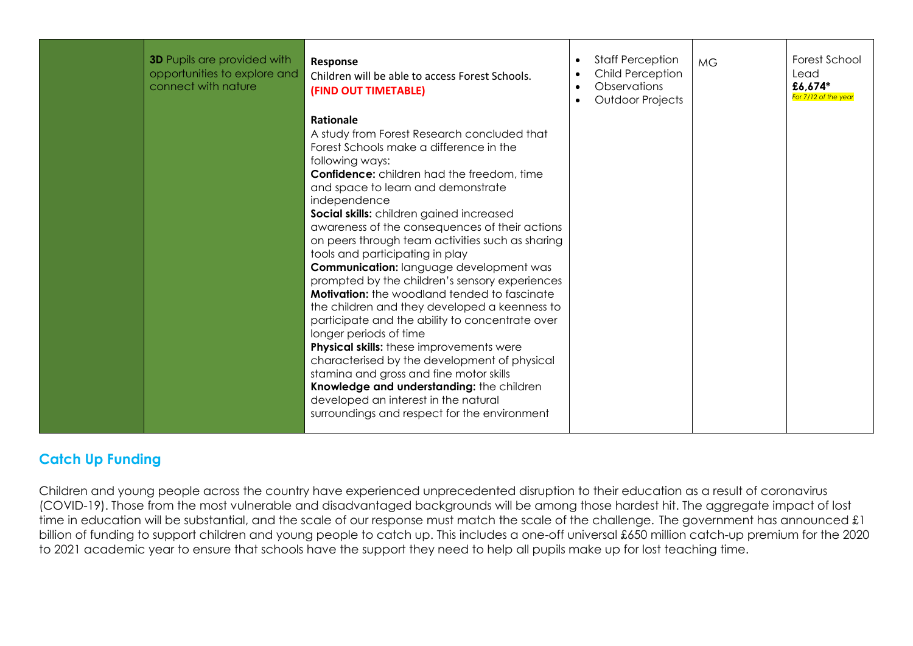| <b>3D</b> Pupils are provided with<br>opportunities to explore and<br>connect with nature | Response<br>Children will be able to access Forest Schools.<br>(FIND OUT TIMETABLE)                                                                                                                                                                                                                                                                                                                                                                                                                                                                                                                                                                                                                                                                                                                                                                                                                                                                                                                | $\bullet$<br>$\bullet$<br>$\bullet$<br>$\bullet$ | <b>Staff Perception</b><br>Child Perception<br>Observations<br>Outdoor Projects | <b>MG</b> | Forest School<br>Lead<br>£6,674*<br>For 7/12 of the year |
|-------------------------------------------------------------------------------------------|----------------------------------------------------------------------------------------------------------------------------------------------------------------------------------------------------------------------------------------------------------------------------------------------------------------------------------------------------------------------------------------------------------------------------------------------------------------------------------------------------------------------------------------------------------------------------------------------------------------------------------------------------------------------------------------------------------------------------------------------------------------------------------------------------------------------------------------------------------------------------------------------------------------------------------------------------------------------------------------------------|--------------------------------------------------|---------------------------------------------------------------------------------|-----------|----------------------------------------------------------|
|                                                                                           | Rationale<br>A study from Forest Research concluded that<br>Forest Schools make a difference in the<br>following ways:<br><b>Confidence:</b> children had the freedom, time<br>and space to learn and demonstrate<br>independence<br>Social skills: children gained increased<br>awareness of the consequences of their actions<br>on peers through team activities such as sharing<br>tools and participating in play<br><b>Communication:</b> language development was<br>prompted by the children's sensory experiences<br><b>Motivation:</b> the woodland tended to fascinate<br>the children and they developed a keenness to<br>participate and the ability to concentrate over<br>longer periods of time<br><b>Physical skills:</b> these improvements were<br>characterised by the development of physical<br>stamina and gross and fine motor skills<br>Knowledge and understanding: the children<br>developed an interest in the natural<br>surroundings and respect for the environment |                                                  |                                                                                 |           |                                                          |

## **Catch Up Funding**

Children and young people across the country have experienced unprecedented disruption to their education as a result of coronavirus (COVID-19). Those from the most vulnerable and disadvantaged backgrounds will be among those hardest hit. The aggregate impact of lost time in education will be substantial, and the scale of our response must match the scale of the challenge. The government has announced £1 billion of funding to support children and young people to catch up. This includes a one-off universal £650 million catch-up premium for the 2020 to 2021 academic year to ensure that schools have the support they need to help all pupils make up for lost teaching time.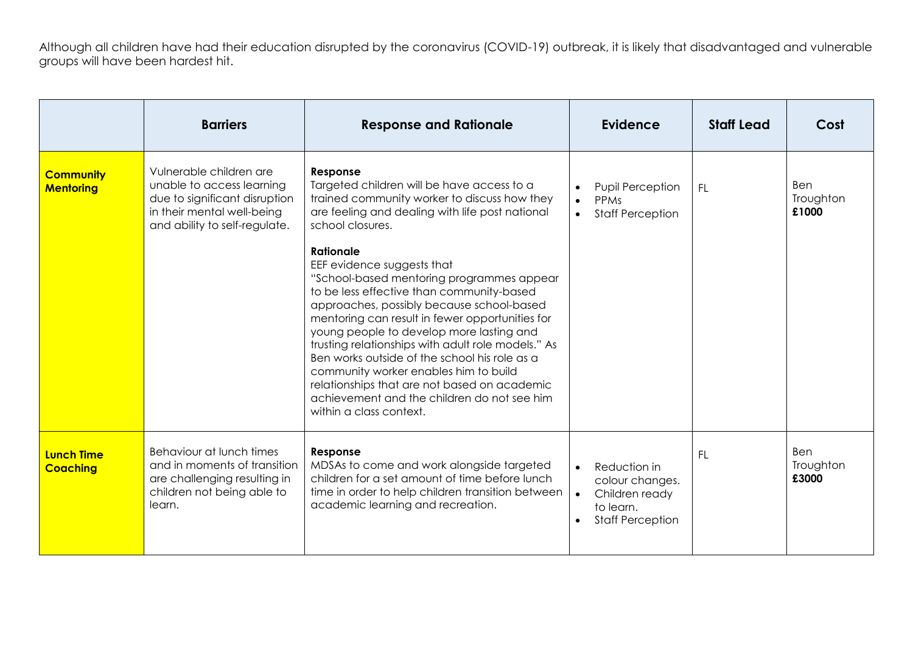Although all children have had their education disrupted by the coronavirus (COVID-19) outbreak, it is likely that disadvantaged and vulnerable groups will have been hardest hit.

|                                      | <b>Barriers</b>                                                                                                                                      | <b>Response and Rationale</b>                                                                                                                                                                                                                                                                                                                                                                                                                                                                                                                                                                                                                                                                                                            | <b>Evidence</b>                                                                                                                  | <b>Staff Lead</b> | Cost                      |
|--------------------------------------|------------------------------------------------------------------------------------------------------------------------------------------------------|------------------------------------------------------------------------------------------------------------------------------------------------------------------------------------------------------------------------------------------------------------------------------------------------------------------------------------------------------------------------------------------------------------------------------------------------------------------------------------------------------------------------------------------------------------------------------------------------------------------------------------------------------------------------------------------------------------------------------------------|----------------------------------------------------------------------------------------------------------------------------------|-------------------|---------------------------|
| <b>Community</b><br><b>Mentoring</b> | Vulnerable children are<br>unable to access learning<br>due to significant disruption<br>in their mental well-being<br>and ability to self-regulate. | Response<br>Targeted children will be have access to a<br>trained community worker to discuss how they<br>are feeling and dealing with life post national<br>school closures.<br>Rationale<br>EEF evidence suggests that<br>"School-based mentoring programmes appear<br>to be less effective than community-based<br>approaches, possibly because school-based<br>mentoring can result in fewer opportunities for<br>young people to develop more lasting and<br>trusting relationships with adult role models." As<br>Ben works outside of the school his role as a<br>community worker enables him to build<br>relationships that are not based on academic<br>achievement and the children do not see him<br>within a class context. | <b>Pupil Perception</b><br>PPMs<br>$\bullet$<br><b>Staff Perception</b><br>$\bullet$                                             | <b>FL</b>         | Ben<br>Troughton<br>£1000 |
| <b>Lunch Time</b><br><b>Coaching</b> | Behaviour at lunch times<br>and in moments of transition<br>are challenging resulting in<br>children not being able to<br>learn.                     | Response<br>MDSAs to come and work alongside targeted<br>children for a set amount of time before lunch<br>time in order to help children transition between<br>academic learning and recreation.                                                                                                                                                                                                                                                                                                                                                                                                                                                                                                                                        | Reduction in<br>$\bullet$<br>colour changes.<br>Children ready<br>$\bullet$<br>to learn.<br><b>Staff Perception</b><br>$\bullet$ | <b>FL</b>         | Ben<br>Troughton<br>£3000 |